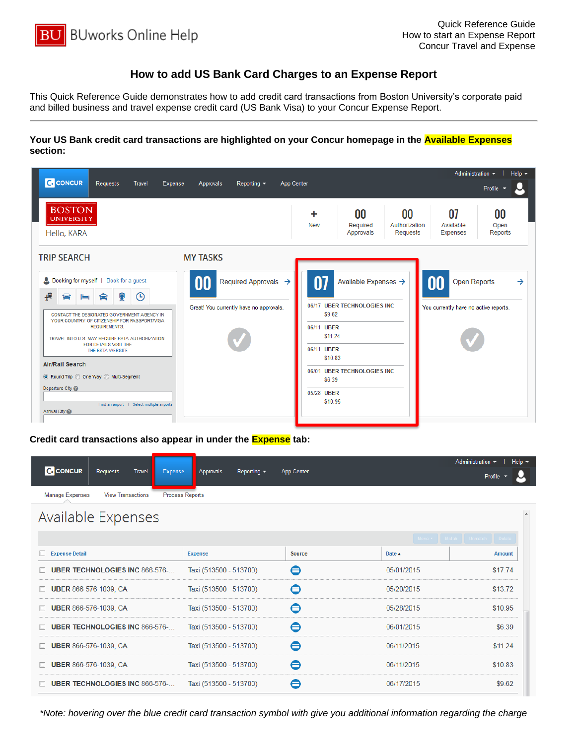

## **How to add US Bank Card Charges to an Expense Report**

This Quick Reference Guide demonstrates how to add credit card transactions from Boston University's corporate paid and billed business and travel expense credit card (US Bank Visa) to your Concur Expense Report.

**Your US Bank credit card transactions are highlighted on your Concur homepage in the Available Expenses section:**



**Credit card transactions also appear in under the Expense tab:**

| <b>C.</b> CONCUR<br><b>Requests</b><br><b>Travel</b><br>Expense | Reporting $\sim$<br>Approvals | App Center    |                  | Administration -<br>Help $\sim$<br>Profile |
|-----------------------------------------------------------------|-------------------------------|---------------|------------------|--------------------------------------------|
| <b>Manage Expenses</b><br><b>View Transactions</b>              | <b>Process Reports</b>        |               |                  |                                            |
| Available Expenses                                              |                               |               |                  | $\overline{\phantom{a}}$                   |
|                                                                 |                               |               |                  | Move v Match Unmatch Delete                |
| <b>Expense Detail</b>                                           | <b>Expense</b>                | <b>Source</b> | Date $\triangle$ | <b>Amount</b>                              |
| <b>UBER TECHNOLOGIES INC 866-576-</b>                           | Taxi (513500 - 513700)        | ⊟             | 05/01/2015       | \$17.74                                    |
| <b>UBER 866-576-1039, CA</b>                                    | Taxi (513500 - 513700)        | ⊟             | 05/20/2015       | \$13.72                                    |
| <b>UBER 866-576-1039, CA</b>                                    | Taxi (513500 - 513700)        | ⊖             | 05/28/2015       | \$10.95                                    |
| <b>UBER TECHNOLOGIES INC 866-576-</b>                           | Taxi (513500 - 513700)        | ⊟             | 06/01/2015       | \$6.39                                     |
| <b>UBER 866-576-1039, CA</b>                                    | Taxi (513500 - 513700)        | ⊖             | 06/11/2015       | \$11.24                                    |
| <b>UBER 866-576-1039, CA</b>                                    | Taxi (513500 - 513700)        | ⊟             | 06/11/2015       | \$10.83                                    |
| <b>UBER TECHNOLOGIES INC 866-576-</b>                           | Taxi (513500 - 513700)        | A             | 06/17/2015       | \$9.62                                     |

*\*Note: hovering over the blue credit card transaction symbol with give you additional information regarding the charge*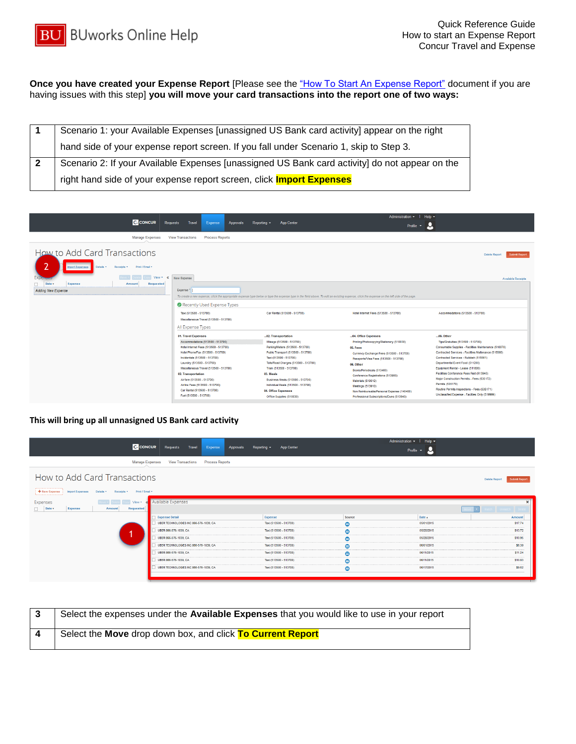**Once you have created your Expense Report** [Please see the ["How To Start An Expense Report"](http://www.bu.edu/travelservices/files/2014/10/QRG_TM_How-to-Start-an-Expense-Report.pdf) document if you are having issues with this step] **you will move your card transactions into the report one of two ways:**

|  | Scenario 1: your Available Expenses [unassigned US Bank card activity] appear on the right     |
|--|------------------------------------------------------------------------------------------------|
|  | hand side of your expense report screen. If you fall under Scenario 1, skip to Step 3.         |
|  | Scenario 2: If your Available Expenses [unassigned US Bank card activity] do not appear on the |
|  | right hand side of your expense report screen, click <b>Import Expenses</b>                    |

| <b>C</b> CONCUR                                                                                             | Travel<br>Requests<br>Expense<br>Approvals                                                                                                                                                                                                                                                                                                                         | App Center<br>Reporting $\sim$                                                                                                                                                                                                                                                                                                      | Help $\sim$<br>Administration $\sim$<br>М<br>Profile $\sim$                                                                                                                                                                                                                                                                                              |                                                                                                                                                                                                                                                                                                                                                                                                                                                 |
|-------------------------------------------------------------------------------------------------------------|--------------------------------------------------------------------------------------------------------------------------------------------------------------------------------------------------------------------------------------------------------------------------------------------------------------------------------------------------------------------|-------------------------------------------------------------------------------------------------------------------------------------------------------------------------------------------------------------------------------------------------------------------------------------------------------------------------------------|----------------------------------------------------------------------------------------------------------------------------------------------------------------------------------------------------------------------------------------------------------------------------------------------------------------------------------------------------------|-------------------------------------------------------------------------------------------------------------------------------------------------------------------------------------------------------------------------------------------------------------------------------------------------------------------------------------------------------------------------------------------------------------------------------------------------|
| Manage Expenses                                                                                             | <b>View Transactions</b><br><b>Process Reports</b>                                                                                                                                                                                                                                                                                                                 |                                                                                                                                                                                                                                                                                                                                     |                                                                                                                                                                                                                                                                                                                                                          |                                                                                                                                                                                                                                                                                                                                                                                                                                                 |
| How to Add Card Transactions<br>Print / Email *<br><b>Import Expenses</b><br>Receipts *<br>Details <b>v</b> |                                                                                                                                                                                                                                                                                                                                                                    |                                                                                                                                                                                                                                                                                                                                     |                                                                                                                                                                                                                                                                                                                                                          | Submit Report<br>Delete Report                                                                                                                                                                                                                                                                                                                                                                                                                  |
| View *<br>$\ll$<br>Expense<br>Date +<br>Requested<br>Amount<br><b>Adding New Expense</b>                    | New Expense<br>Expense"<br>Recently Used Expense Types                                                                                                                                                                                                                                                                                                             |                                                                                                                                                                                                                                                                                                                                     | To create a new expense, click the appropriate expense type below or type the expense type in the field above. To edit an existing expense, click the expense on the left side of the page.                                                                                                                                                              | <b>Available Receipts</b>                                                                                                                                                                                                                                                                                                                                                                                                                       |
|                                                                                                             | Taxi (513500 - 513700)<br>Miscellaneous Travel (513500 - 513700)<br>All Expense Types                                                                                                                                                                                                                                                                              | Car Rental (513500 - 513700)                                                                                                                                                                                                                                                                                                        | Hotel Internet Fees (513500 - 513700)                                                                                                                                                                                                                                                                                                                    | Accommodations (513500 - 513700)                                                                                                                                                                                                                                                                                                                                                                                                                |
|                                                                                                             | 01. Travel Expenses<br>Accommodations (513500 - 513700)<br>Hotel Internet Fees (513500 - 513700)<br>Hotel Phone/Fax (513500 - 513700)<br>Incidentals (513500 - 513700)<br>Laundry (513500 - 513700)<br>Miscellaneous Travel (513500 - 513700)<br>02. Transportation<br>Airfare (513500 - 513700)<br>Airline Fees (513500 - 513700)<br>Car Rental (513500 - 513700) | 02. Transportation<br>Mieage (513500 - 513700)<br>Parking/Meters (513500 - 513700)<br>Public Transport (513500 - 513700)<br>Taxi (513500 - 513700)<br>Tolls/Road Charges (513500 - 513700)<br>Train (513500 - 513700)<br>03. Meals<br>Business Meals (513500 - 513700)<br>Individual Meals (513500 - 513700)<br>04. Office Expenses | 04. Office Expenses<br>Printing/Photocopying/Stationery (510030)<br>05. Fees<br>Currency Exchange Fees (513500 - 513700)<br>Passports/Visa Fees (513500 - 513700)<br>06. Other<br>Books/Periodicals (513400)<br>Conference Registrations (513900)<br><b>Materials (510010)</b><br><b>Meetings (513910)</b><br>Non Reimbursable/Personal Expense (140400) | 06. Other<br>Tips/Gratuities (513500 - 513700)<br>Consumable Supplies - Facilities Maintenance (510070)<br>Contracted Services - Facilities Maltenance (515560)<br>Contracted Services - Rubbish (515561)<br>Departmental Event Food (511200)<br>Equipment Rental - Lease (511800)<br>Facilities Conference Fees Paid (513940)<br>Major Construction Permits - Fees (535172)<br>Permits (535170)<br>Routine Permits Inspections - Fees (535171) |

## **This will bring up all unnasigned US Bank card activity**

| <b>C.</b> CONCUR                                                                                                | Requests<br>Travel<br>Expense<br><b>Approvals</b>  | App Center<br>Reporting $\sim$ | Administration $\sim$ | $HeIn -$<br>Profile v |                                       |
|-----------------------------------------------------------------------------------------------------------------|----------------------------------------------------|--------------------------------|-----------------------|-----------------------|---------------------------------------|
| <b>Manage Expenses</b>                                                                                          | <b>View Transactions</b><br><b>Process Reports</b> |                                |                       |                       |                                       |
| How to Add Card Transactions                                                                                    |                                                    |                                |                       |                       | <b>Submit Report</b><br>Delete Report |
| ,,,,,,,,,,,,,,,,,<br>+ New Expense<br>Print / Email *<br>Import Expenses<br>Details <b>*</b><br>Receipts *<br>. |                                                    |                                |                       |                       |                                       |
| Expenses<br>View *<br>Requested<br>$\Box$ Date $\star$<br>Expense<br>Amount                                     | Available Expenses                                 |                                |                       |                       | $\pmb{\times}$                        |
|                                                                                                                 | <b>Expense Detail</b>                              | Expense                        | Source                | Date +                | Amount                                |
|                                                                                                                 | UBER TECHNOLOGIES INC 866-576-1039, CA             | Taxi (513500 - 513700)         | $\bullet$             | 05/01/2015            | \$17.74                               |
|                                                                                                                 | UBER 866-576-1039, CA                              | Taxi (513500 - 513700)         | $\bullet$             | 05/20/2015            | \$13.72                               |
|                                                                                                                 | UBER 866-576-1039, CA                              | Taxi (513500 - 513700)         | $\bullet$             | 05/28/2015            | \$10.95                               |
|                                                                                                                 | UBER TECHNOLOGIES INC 866-576-1039, CA             | Taxi (513500 - 513700)         | $\bullet$             | 06/01/2015            | \$6.39                                |
|                                                                                                                 | UBER 866-576-1039, CA                              | Taxi (513500 - 513700)         | $\bullet$             | 06/11/2015            | \$11.24                               |
|                                                                                                                 | UBER 866-576-1039, CA                              | Taxi (513500 - 513700)         | $\bullet$             | 06/11/2015            | \$10.83                               |
|                                                                                                                 | UBER TECHNOLOGIES INC 866-576-1039, CA             | Taxi (513500 - 513700)         | $\bullet$             | 06/17/2015            | \$9.62                                |
|                                                                                                                 |                                                    |                                |                       |                       |                                       |

| Select the expenses under the Available Expenses that you would like to use in your report |
|--------------------------------------------------------------------------------------------|
| Select the Move drop down box, and click To Current Report                                 |